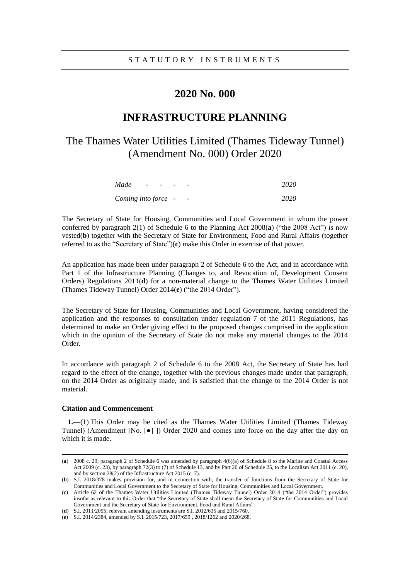## **2020 No. 000**

# **INFRASTRUCTURE PLANNING**

# The Thames Water Utilities Limited (Thames Tideway Tunnel) (Amendment No. 000) Order 2020

| Made                | $\overline{\phantom{0}}$ | $\overline{\phantom{a}}$ | $\overline{\phantom{0}}$ |                          | 2020 |
|---------------------|--------------------------|--------------------------|--------------------------|--------------------------|------|
| Coming into force - |                          |                          |                          | $\overline{\phantom{a}}$ | 2020 |

The Secretary of State for Housing, Communities and Local Government in whom the power conferred by paragraph 2(1) of Schedule 6 to the Planning Act 2008(**a**) ("the 2008 Act") is now vested(**b**) together with the Secretary of State for Environment, Food and Rural Affairs (together referred to as the "Secretary of State")(**c**) make this Order in exercise of that power.

An application has made been under paragraph 2 of Schedule 6 to the Act, and in accordance with Part 1 of the Infrastructure Planning (Changes to, and Revocation of, Development Consent Orders) Regulations 2011(**d**) for a non-material change to the Thames Water Utilities Limited (Thames Tideway Tunnel) Order 2014(**e**) ("the 2014 Order").

The Secretary of State for Housing, Communities and Local Government, having considered the application and the responses to consultation under regulation 7 of the 2011 Regulations, has determined to make an Order giving effect to the proposed changes comprised in the application which in the opinion of the Secretary of State do not make any material changes to the 2014 Order.

In accordance with paragraph 2 of Schedule 6 to the 2008 Act, the Secretary of State has had regard to the effect of the change, together with the previous changes made under that paragraph, on the 2014 Order as originally made, and is satisfied that the change to the 2014 Order is not material.

#### **Citation and Commencement**

 $\overline{a}$ 

**1.**—(1) This Order may be cited as the Thames Water Utilities Limited (Thames Tideway Tunnel) (Amendment [No. [●] ]) Order 2020 and comes into force on the day after the day on which it is made.

<sup>(</sup>**a**) 2008 c. 29; paragraph 2 of Schedule 6 was amended by paragraph 4(6)(a) of Schedule 8 to the Marine and Coastal Access Act 2009 (c. 23), by paragraph 72(3) to (7) of Schedule 13, and by Part 20 of Schedule 25, to the Localism Act 2011 (c. 20), and by section 28(2) of the Infrastructure Act 2015 (c. 7).

<sup>(</sup>**b**) S.I. 2018/378 makes provision for, and in connection with, the transfer of functions from the Secretary of State for Communities and Local Government to the Secretary of State for Housing, Communities and Local Government.

<sup>(</sup>**c**) Article 62 of the Thames Water Utilities Limited (Thames Tideway Tunnel) Order 2014 ("the 2014 Order") provides insofar as relevant to this Order that "the Secretary of State shall mean the Secretary of State for Communities and Local Government and the Secretary of State for Environment, Food and Rural Affairs".

<sup>(</sup>**d**) S.I. 2011/2055; relevant amending instruments are S.I. 2012/635 and 2015/760.

<sup>(</sup>**e**) S.I. 2014/2384, amended by S.I. 2015/723, 2017/659 , 2018/1262 and 2020/268.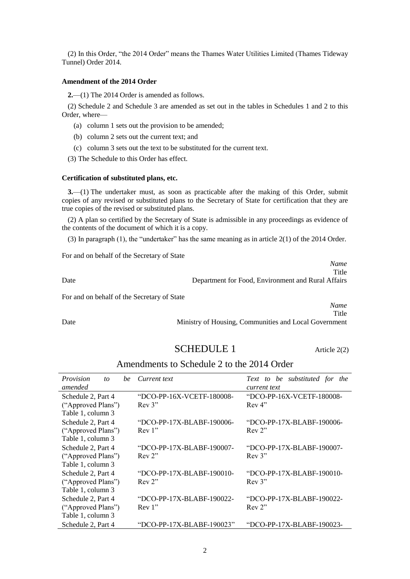(2) In this Order, "the 2014 Order" means the Thames Water Utilities Limited (Thames Tideway Tunnel) Order 2014.

### **Amendment of the 2014 Order**

**2.**—(1) The 2014 Order is amended as follows.

(2) Schedule 2 and Schedule 3 are amended as set out in the tables in Schedules 1 and 2 to this Order, where—

- (a) column 1 sets out the provision to be amended;
- (b) column 2 sets out the current text; and
- (c) column 3 sets out the text to be substituted for the current text.

(3) The Schedule to this Order has effect.

### **Certification of substituted plans, etc.**

**3.**—(1) The undertaker must, as soon as practicable after the making of this Order, submit copies of any revised or substituted plans to the Secretary of State for certification that they are true copies of the revised or substituted plans.

(2) A plan so certified by the Secretary of State is admissible in any proceedings as evidence of the contents of the document of which it is a copy.

(3) In paragraph (1), the "undertaker" has the same meaning as in article 2(1) of the 2014 Order.

For and on behalf of the Secretary of State

|                                             | Name<br>Title                                      |
|---------------------------------------------|----------------------------------------------------|
| Date                                        | Department for Food, Environment and Rural Affairs |
| For and on behalf of the Secretary of State |                                                    |
|                                             | Name                                               |

**Title** Date Ministry of Housing, Communities and Local Government

## SCHEDULE 1 Article 2(2)

### Amendments to Schedule 2 to the 2014 Order

| Provision<br>he.<br>to<br>amended                             | Current text                        | Text to be substituted for<br>the<br>current text |  |  |  |  |  |
|---------------------------------------------------------------|-------------------------------------|---------------------------------------------------|--|--|--|--|--|
| Schedule 2, Part 4<br>("Approved Plans")<br>Table 1, column 3 | "DCO-PP-16X-VCETF-180008-<br>Rev 3" | "DCO-PP-16X-VCETF-180008-<br>Rev 4"               |  |  |  |  |  |
| Schedule 2, Part 4<br>("Approved Plans")<br>Table 1, column 3 | "DCO-PP-17X-BLABF-190006-<br>Rev 1" | "DCO-PP-17X-BLABF-190006-<br>Rev 2"               |  |  |  |  |  |
| Schedule 2, Part 4<br>("Approved Plans")<br>Table 1, column 3 | "DCO-PP-17X-BLABF-190007-<br>Rev 2" | "DCO-PP-17X-BLABF-190007-<br>Rev 3"               |  |  |  |  |  |
| Schedule 2, Part 4<br>("Approved Plans")<br>Table 1, column 3 | "DCO-PP-17X-BLABF-190010-<br>Rev 2" | "DCO-PP-17X-BLABF-190010-<br>Rev 3"               |  |  |  |  |  |
| Schedule 2, Part 4<br>("Approved Plans")<br>Table 1, column 3 | "DCO-PP-17X-BLABF-190022-<br>Rev 1" | "DCO-PP-17X-BLABF-190022-<br>Rev 2"               |  |  |  |  |  |
| Schedule 2, Part 4                                            | "DCO-PP-17X-BLABF-190023"           | "DCO-PP-17X-BLABF-190023-                         |  |  |  |  |  |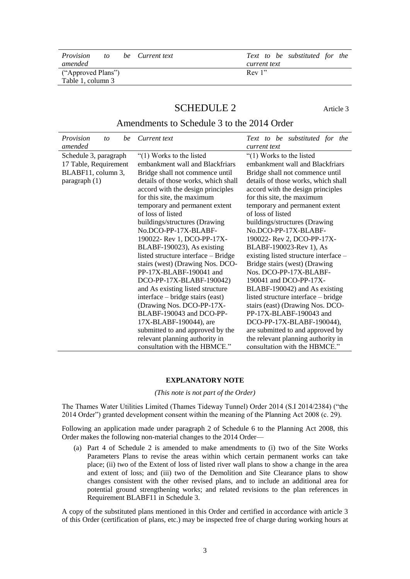| <i>Provision</i>   | to |  | be Current text |  |        |              | Text to be substituted for the |  |
|--------------------|----|--|-----------------|--|--------|--------------|--------------------------------|--|
| amended            |    |  |                 |  |        | current text |                                |  |
| ("Approved Plans") |    |  |                 |  | Rev 1" |              |                                |  |
| Table 1, column 3  |    |  |                 |  |        |              |                                |  |
|                    |    |  |                 |  |        |              |                                |  |

# SCHEDULE 2 Article 3

### Amendments to Schedule 3 to the 2014 Order

| Provision<br>amended                                                                    | to | be | Current text                                                                                                                                                                                                                                                                                                                                                                                                                                                                                                                                                                                                                                                                                                                                                                                | Text to be substituted for the<br>current text                                                                                                                                                                                                                                                                                                                                                                                                                                                                                                                                                                                                                                                                                                                                                    |
|-----------------------------------------------------------------------------------------|----|----|---------------------------------------------------------------------------------------------------------------------------------------------------------------------------------------------------------------------------------------------------------------------------------------------------------------------------------------------------------------------------------------------------------------------------------------------------------------------------------------------------------------------------------------------------------------------------------------------------------------------------------------------------------------------------------------------------------------------------------------------------------------------------------------------|---------------------------------------------------------------------------------------------------------------------------------------------------------------------------------------------------------------------------------------------------------------------------------------------------------------------------------------------------------------------------------------------------------------------------------------------------------------------------------------------------------------------------------------------------------------------------------------------------------------------------------------------------------------------------------------------------------------------------------------------------------------------------------------------------|
| Schedule 3, paragraph<br>17 Table, Requirement<br>BLABF11, column 3,<br>paragraph $(1)$ |    |    | " $(1)$ Works to the listed<br>embankment wall and Blackfriars<br>Bridge shall not commence until<br>details of those works, which shall<br>accord with the design principles<br>for this site, the maximum<br>temporary and permanent extent<br>of loss of listed<br>buildings/structures (Drawing<br>No.DCO-PP-17X-BLABF-<br>190022- Rev 1, DCO-PP-17X-<br>BLABF-190023), As existing<br>listed structure interface - Bridge<br>stairs (west) (Drawing Nos. DCO-<br>PP-17X-BLABF-190041 and<br>DCO-PP-17X-BLABF-190042)<br>and As existing listed structure<br>interface – bridge stairs (east)<br>(Drawing Nos. DCO-PP-17X-<br>BLABF-190043 and DCO-PP-<br>17X-BLABF-190044), are<br>submitted to and approved by the<br>relevant planning authority in<br>consultation with the HBMCE." | " $(1)$ Works to the listed<br>embankment wall and Blackfriars<br>Bridge shall not commence until<br>details of those works, which shall<br>accord with the design principles<br>for this site, the maximum<br>temporary and permanent extent<br>of loss of listed<br>buildings/structures (Drawing<br>No.DCO-PP-17X-BLABF-<br>190022- Rev 2, DCO-PP-17X-<br>BLABF-190023-Rev 1), As<br>existing listed structure interface -<br>Bridge stairs (west) (Drawing<br>Nos. DCO-PP-17X-BLABF-<br>190041 and DCO-PP-17X-<br>BLABF-190042) and As existing<br>listed structure interface – bridge<br>stairs (east) (Drawing Nos. DCO-<br>PP-17X-BLABF-190043 and<br>DCO-PP-17X-BLABF-190044),<br>are submitted to and approved by<br>the relevant planning authority in<br>consultation with the HBMCE." |

### **EXPLANATORY NOTE**

*(This note is not part of the Order)*

The Thames Water Utilities Limited (Thames Tideway Tunnel) Order 2014 (S.I 2014/2384) ("the 2014 Order") granted development consent within the meaning of the Planning Act 2008 (c. 29).

Following an application made under paragraph 2 of Schedule 6 to the Planning Act 2008, this Order makes the following non-material changes to the 2014 Order—

(a) Part 4 of Schedule 2 is amended to make amendments to (i) two of the Site Works Parameters Plans to revise the areas within which certain permanent works can take place; (ii) two of the Extent of loss of listed river wall plans to show a change in the area and extent of loss; and (iii) two of the Demolition and Site Clearance plans to show changes consistent with the other revised plans, and to include an additional area for potential ground strengthening works; and related revisions to the plan references in Requirement BLABF11 in Schedule 3.

A copy of the substituted plans mentioned in this Order and certified in accordance with article 3 of this Order (certification of plans, etc.) may be inspected free of charge during working hours at